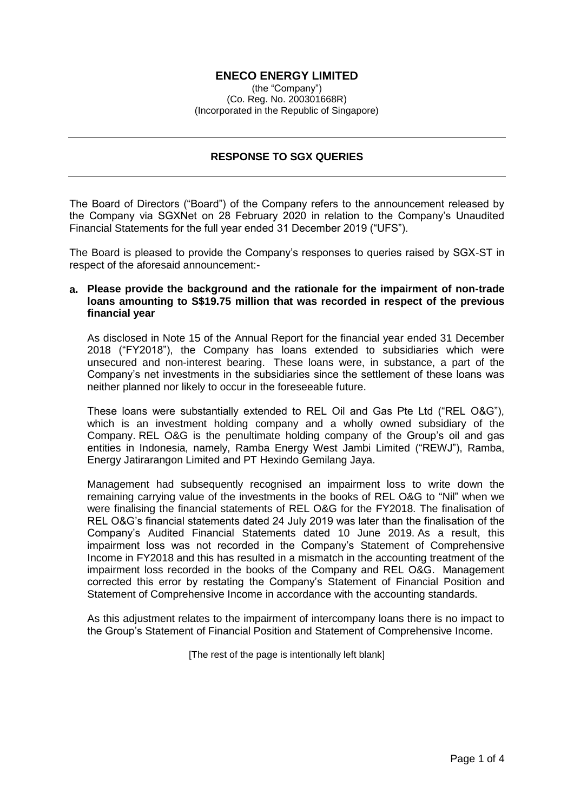# **ENECO ENERGY LIMITED**

(the "Company") (Co. Reg. No. 200301668R) (Incorporated in the Republic of Singapore)

### **RESPONSE TO SGX QUERIES**

The Board of Directors ("Board") of the Company refers to the announcement released by the Company via SGXNet on 28 February 2020 in relation to the Company's Unaudited Financial Statements for the full year ended 31 December 2019 ("UFS").

The Board is pleased to provide the Company's responses to queries raised by SGX-ST in respect of the aforesaid announcement:-

#### **a. Please provide the background and the rationale for the impairment of non-trade loans amounting to S\$19.75 million that was recorded in respect of the previous financial year**

As disclosed in Note 15 of the Annual Report for the financial year ended 31 December 2018 ("FY2018"), the Company has loans extended to subsidiaries which were unsecured and non-interest bearing. These loans were, in substance, a part of the Company's net investments in the subsidiaries since the settlement of these loans was neither planned nor likely to occur in the foreseeable future.

These loans were substantially extended to REL Oil and Gas Pte Ltd ("REL O&G"), which is an investment holding company and a wholly owned subsidiary of the Company. REL O&G is the penultimate holding company of the Group's oil and gas entities in Indonesia, namely, Ramba Energy West Jambi Limited ("REWJ"), Ramba, Energy Jatirarangon Limited and PT Hexindo Gemilang Jaya.

Management had subsequently recognised an impairment loss to write down the remaining carrying value of the investments in the books of REL O&G to "Nil" when we were finalising the financial statements of REL O&G for the FY2018. The finalisation of REL O&G's financial statements dated 24 July 2019 was later than the finalisation of the Company's Audited Financial Statements dated 10 June 2019. As a result, this impairment loss was not recorded in the Company's Statement of Comprehensive Income in FY2018 and this has resulted in a mismatch in the accounting treatment of the impairment loss recorded in the books of the Company and REL O&G. Management corrected this error by restating the Company's Statement of Financial Position and Statement of Comprehensive Income in accordance with the accounting standards.

As this adjustment relates to the impairment of intercompany loans there is no impact to the Group's Statement of Financial Position and Statement of Comprehensive Income.

[The rest of the page is intentionally left blank]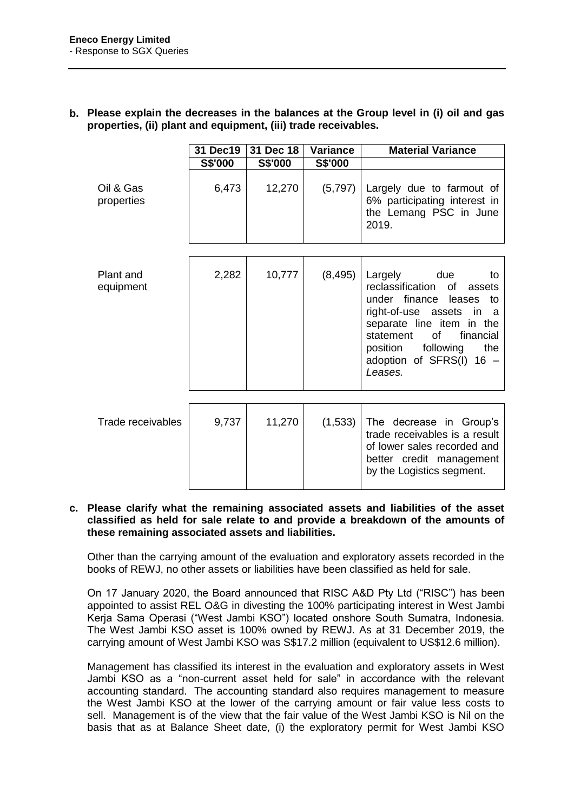|                         | 31 Dec19 | 31 Dec 18      | <b>Variance</b> | <b>Material Variance</b>                                                                                                                                                                                                                                                |
|-------------------------|----------|----------------|-----------------|-------------------------------------------------------------------------------------------------------------------------------------------------------------------------------------------------------------------------------------------------------------------------|
|                         | S\$'000  | <b>S\$'000</b> | S\$'000         |                                                                                                                                                                                                                                                                         |
| Oil & Gas<br>properties | 6,473    | 12,270         | (5,797)         | Largely due to farmout of<br>6% participating interest in<br>the Lemang PSC in June<br>2019.                                                                                                                                                                            |
|                         |          |                |                 |                                                                                                                                                                                                                                                                         |
| Plant and<br>equipment  | 2,282    | 10,777         | (8, 495)        | Largely<br>due<br>to<br>reclassification<br>of<br>assets<br>under finance leases to<br>right-of-use assets<br>in<br>- a<br>separate line item in the<br>statement<br><b>of</b><br>financial<br>the<br>position<br>following<br>adoption of SFRS(I)<br>$16 -$<br>Leases. |
|                         |          |                |                 |                                                                                                                                                                                                                                                                         |
| Trade receivables       | 9,737    | 11,270         | (1,533)         | The decrease in Group's<br>trade receivables is a result<br>of lower sales recorded and<br>better credit management<br>by the Logistics segment.                                                                                                                        |

### **b. Please explain the decreases in the balances at the Group level in (i) oil and gas properties, (ii) plant and equipment, (iii) trade receivables.**

#### **c. Please clarify what the remaining associated assets and liabilities of the asset classified as held for sale relate to and provide a breakdown of the amounts of these remaining associated assets and liabilities.**

Other than the carrying amount of the evaluation and exploratory assets recorded in the books of REWJ, no other assets or liabilities have been classified as held for sale.

On 17 January 2020, the Board announced that RISC A&D Pty Ltd ("RISC") has been appointed to assist REL O&G in divesting the 100% participating interest in West Jambi Kerja Sama Operasi ("West Jambi KSO") located onshore South Sumatra, Indonesia. The West Jambi KSO asset is 100% owned by REWJ. As at 31 December 2019, the carrying amount of West Jambi KSO was S\$17.2 million (equivalent to US\$12.6 million).

Management has classified its interest in the evaluation and exploratory assets in West Jambi KSO as a "non-current asset held for sale" in accordance with the relevant accounting standard. The accounting standard also requires management to measure the West Jambi KSO at the lower of the carrying amount or fair value less costs to sell. Management is of the view that the fair value of the West Jambi KSO is Nil on the basis that as at Balance Sheet date, (i) the exploratory permit for West Jambi KSO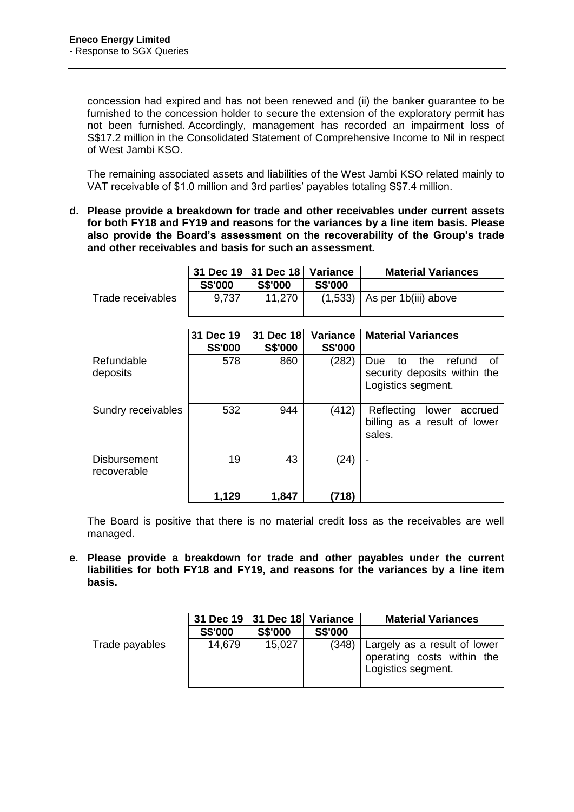concession had expired and has not been renewed and (ii) the banker guarantee to be furnished to the concession holder to secure the extension of the exploratory permit has not been furnished. Accordingly, management has recorded an impairment loss of S\$17.2 million in the Consolidated Statement of Comprehensive Income to Nil in respect of West Jambi KSO.

The remaining associated assets and liabilities of the West Jambi KSO related mainly to VAT receivable of \$1.0 million and 3rd parties' payables totaling S\$7.4 million.

**d. Please provide a breakdown for trade and other receivables under current assets for both FY18 and FY19 and reasons for the variances by a line item basis. Please also provide the Board's assessment on the recoverability of the Group's trade and other receivables and basis for such an assessment.**

|                                    | 31 Dec 19      | 31 Dec 18      | <b>Variance</b> | <b>Material Variances</b>                                                              |
|------------------------------------|----------------|----------------|-----------------|----------------------------------------------------------------------------------------|
|                                    | <b>S\$'000</b> | <b>S\$'000</b> | <b>S\$'000</b>  |                                                                                        |
| Trade receivables                  | 9,737          | 11,270         | (1,533)         | As per 1b(iii) above                                                                   |
|                                    |                |                |                 |                                                                                        |
|                                    | 31 Dec 19      | 31 Dec 18      | Variance        | <b>Material Variances</b>                                                              |
|                                    | <b>S\$'000</b> | <b>S\$'000</b> | <b>S\$'000</b>  |                                                                                        |
| Refundable<br>deposits             | 578            | 860            | (282)           | the<br>refund<br>0f<br>Due<br>to<br>security deposits within the<br>Logistics segment. |
| Sundry receivables                 | 532            | 944            | (412)           | Reflecting<br>lower<br>accrued<br>billing as a result of lower<br>sales.               |
| <b>Disbursement</b><br>recoverable | 19             | 43             | (24)            |                                                                                        |
|                                    | 1,129          | 1,847          | (718)           |                                                                                        |

The Board is positive that there is no material credit loss as the receivables are well managed.

**e. Please provide a breakdown for trade and other payables under the current liabilities for both FY18 and FY19, and reasons for the variances by a line item basis.**

|                |                | 31 Dec 19 31 Dec 18 | Variance       | <b>Material Variances</b>                                                        |
|----------------|----------------|---------------------|----------------|----------------------------------------------------------------------------------|
|                | <b>S\$'000</b> | <b>S\$'000</b>      | <b>S\$'000</b> |                                                                                  |
| Trade payables | 14,679         | 15,027              | (348)          | Largely as a result of lower<br>operating costs within the<br>Logistics segment. |